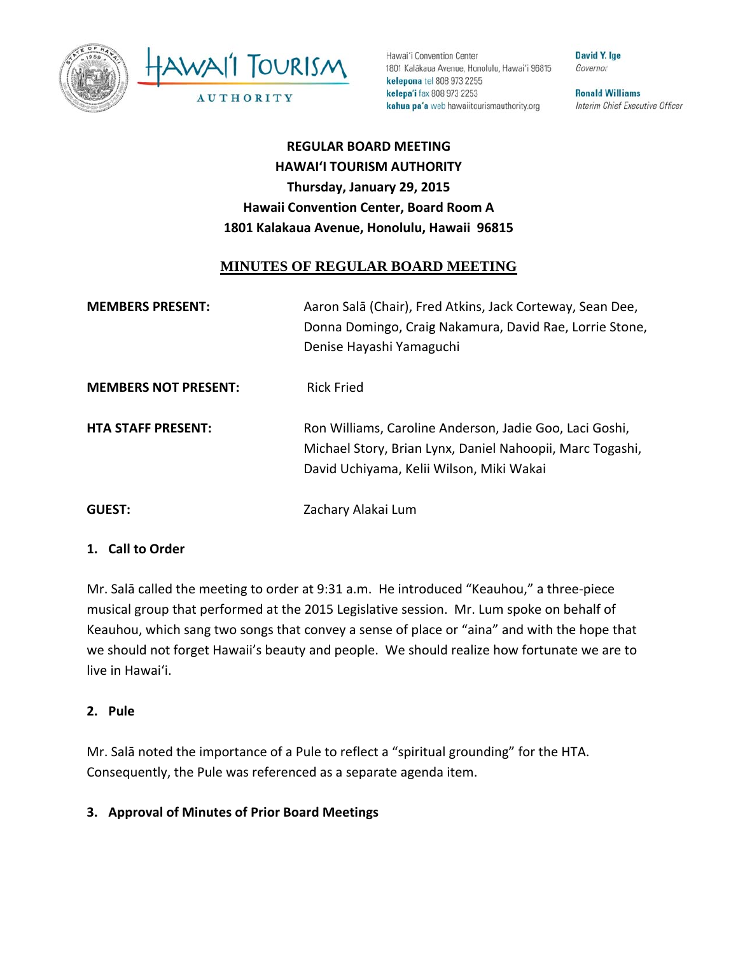



Hawai'i Convention Center 1801 Kalākaua Avenue, Honolulu, Hawai'i 96815 kelepona tel 808 973 2255 kelepa'i fax 808 973 2253 kahua pa'a web hawaiitourismauthority.org

**David Y. Ige** Governor

**Ronald Williams** Interim Chief Executive Officer

**REGULAR BOARD MEETING HAWAI'I TOURISM AUTHORITY Thursday, January 29, 2015 Hawaii Convention Center, Board Room A 1801 Kalakaua Avenue, Honolulu, Hawaii 96815** 

## **MINUTES OF REGULAR BOARD MEETING**

| <b>MEMBERS PRESENT:</b>     | Aaron Salā (Chair), Fred Atkins, Jack Corteway, Sean Dee,<br>Donna Domingo, Craig Nakamura, David Rae, Lorrie Stone,<br>Denise Hayashi Yamaguchi                 |
|-----------------------------|------------------------------------------------------------------------------------------------------------------------------------------------------------------|
| <b>MEMBERS NOT PRESENT:</b> | <b>Rick Fried</b>                                                                                                                                                |
| <b>HTA STAFF PRESENT:</b>   | Ron Williams, Caroline Anderson, Jadie Goo, Laci Goshi,<br>Michael Story, Brian Lynx, Daniel Nahoopii, Marc Togashi,<br>David Uchiyama, Kelii Wilson, Miki Wakai |
| <b>GUEST:</b>               | Zachary Alakai Lum                                                                                                                                               |

## **1. Call to Order**

Mr. Salā called the meeting to order at 9:31 a.m. He introduced "Keauhou," a three‐piece musical group that performed at the 2015 Legislative session. Mr. Lum spoke on behalf of Keauhou, which sang two songs that convey a sense of place or "aina" and with the hope that we should not forget Hawaii's beauty and people. We should realize how fortunate we are to live in Hawai'i.

#### **2. Pule**

Mr. Salā noted the importance of a Pule to reflect a "spiritual grounding" for the HTA. Consequently, the Pule was referenced as a separate agenda item.

## **3. Approval of Minutes of Prior Board Meetings**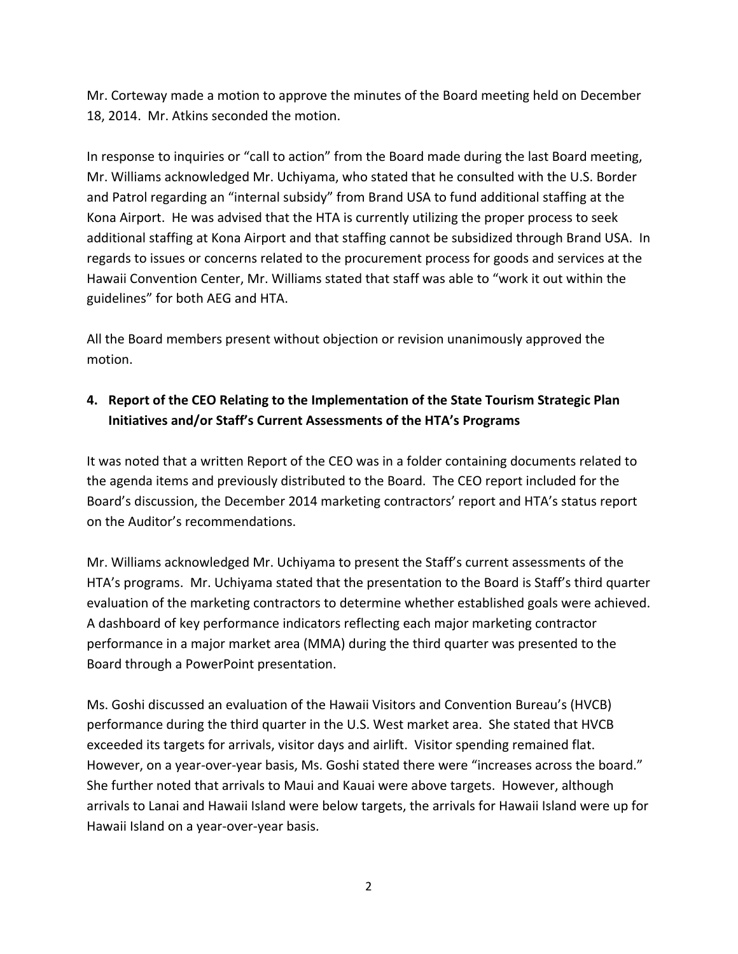Mr. Corteway made a motion to approve the minutes of the Board meeting held on December 18, 2014. Mr. Atkins seconded the motion.

In response to inquiries or "call to action" from the Board made during the last Board meeting, Mr. Williams acknowledged Mr. Uchiyama, who stated that he consulted with the U.S. Border and Patrol regarding an "internal subsidy" from Brand USA to fund additional staffing at the Kona Airport. He was advised that the HTA is currently utilizing the proper process to seek additional staffing at Kona Airport and that staffing cannot be subsidized through Brand USA. In regards to issues or concerns related to the procurement process for goods and services at the Hawaii Convention Center, Mr. Williams stated that staff was able to "work it out within the guidelines" for both AEG and HTA.

All the Board members present without objection or revision unanimously approved the motion.

# **4. Report of the CEO Relating to the Implementation of the State Tourism Strategic Plan Initiatives and/or Staff's Current Assessments of the HTA's Programs**

It was noted that a written Report of the CEO was in a folder containing documents related to the agenda items and previously distributed to the Board. The CEO report included for the Board's discussion, the December 2014 marketing contractors' report and HTA's status report on the Auditor's recommendations.

Mr. Williams acknowledged Mr. Uchiyama to present the Staff's current assessments of the HTA's programs. Mr. Uchiyama stated that the presentation to the Board is Staff's third quarter evaluation of the marketing contractors to determine whether established goals were achieved. A dashboard of key performance indicators reflecting each major marketing contractor performance in a major market area (MMA) during the third quarter was presented to the Board through a PowerPoint presentation.

Ms. Goshi discussed an evaluation of the Hawaii Visitors and Convention Bureau's (HVCB) performance during the third quarter in the U.S. West market area. She stated that HVCB exceeded its targets for arrivals, visitor days and airlift. Visitor spending remained flat. However, on a year-over-year basis, Ms. Goshi stated there were "increases across the board." She further noted that arrivals to Maui and Kauai were above targets. However, although arrivals to Lanai and Hawaii Island were below targets, the arrivals for Hawaii Island were up for Hawaii Island on a year‐over‐year basis.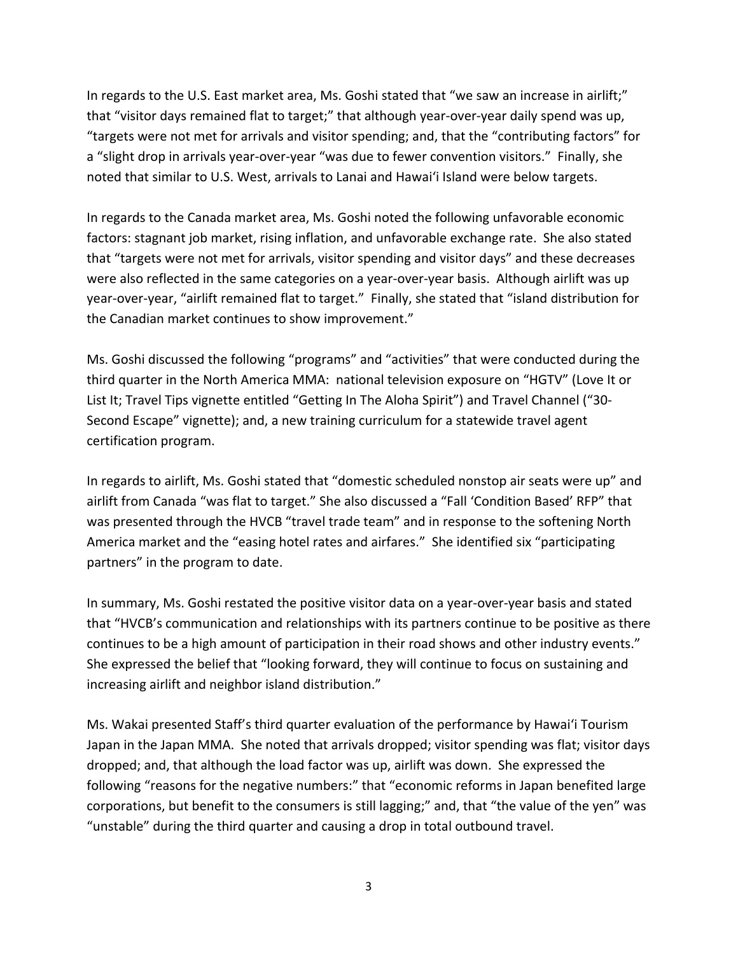In regards to the U.S. East market area, Ms. Goshi stated that "we saw an increase in airlift;" that "visitor days remained flat to target;" that although year‐over‐year daily spend was up, "targets were not met for arrivals and visitor spending; and, that the "contributing factors" for a "slight drop in arrivals year‐over‐year "was due to fewer convention visitors." Finally, she noted that similar to U.S. West, arrivals to Lanai and Hawai'i Island were below targets.

In regards to the Canada market area, Ms. Goshi noted the following unfavorable economic factors: stagnant job market, rising inflation, and unfavorable exchange rate. She also stated that "targets were not met for arrivals, visitor spending and visitor days" and these decreases were also reflected in the same categories on a year-over-year basis. Although airlift was up year‐over‐year, "airlift remained flat to target." Finally, she stated that "island distribution for the Canadian market continues to show improvement."

Ms. Goshi discussed the following "programs" and "activities" that were conducted during the third quarter in the North America MMA: national television exposure on "HGTV" (Love It or List It; Travel Tips vignette entitled "Getting In The Aloha Spirit") and Travel Channel ("30‐ Second Escape" vignette); and, a new training curriculum for a statewide travel agent certification program.

In regards to airlift, Ms. Goshi stated that "domestic scheduled nonstop air seats were up" and airlift from Canada "was flat to target." She also discussed a "Fall 'Condition Based' RFP" that was presented through the HVCB "travel trade team" and in response to the softening North America market and the "easing hotel rates and airfares." She identified six "participating partners" in the program to date.

In summary, Ms. Goshi restated the positive visitor data on a year-over-year basis and stated that "HVCB's communication and relationships with its partners continue to be positive as there continues to be a high amount of participation in their road shows and other industry events." She expressed the belief that "looking forward, they will continue to focus on sustaining and increasing airlift and neighbor island distribution."

Ms. Wakai presented Staff's third quarter evaluation of the performance by Hawai'i Tourism Japan in the Japan MMA. She noted that arrivals dropped; visitor spending was flat; visitor days dropped; and, that although the load factor was up, airlift was down. She expressed the following "reasons for the negative numbers:" that "economic reforms in Japan benefited large corporations, but benefit to the consumers is still lagging;" and, that "the value of the yen" was "unstable" during the third quarter and causing a drop in total outbound travel.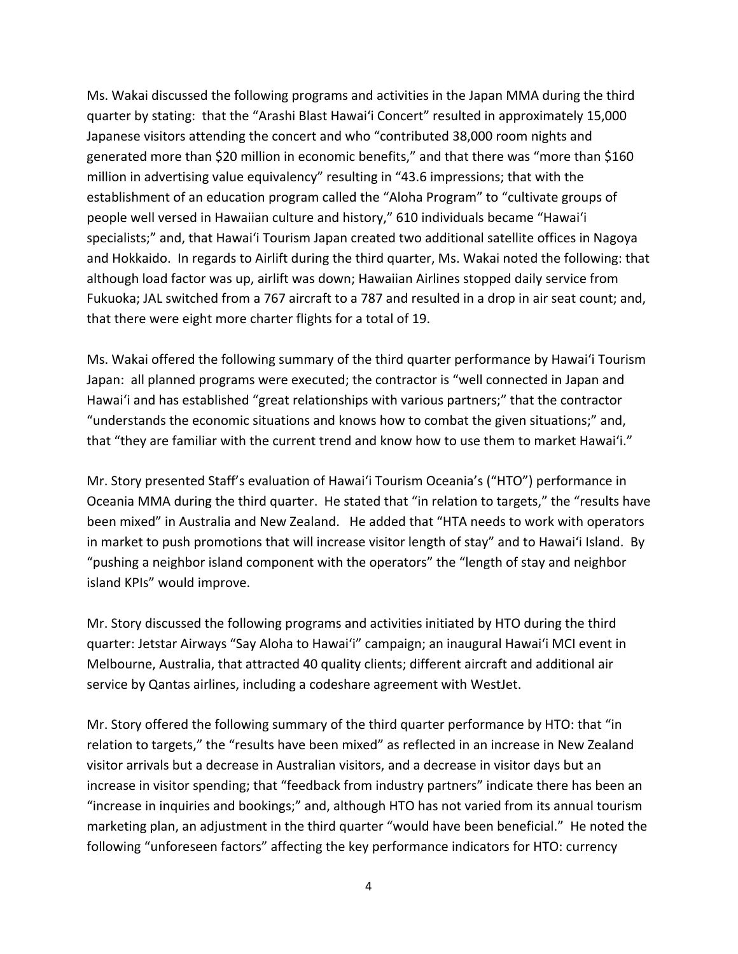Ms. Wakai discussed the following programs and activities in the Japan MMA during the third quarter by stating: that the "Arashi Blast Hawai'i Concert" resulted in approximately 15,000 Japanese visitors attending the concert and who "contributed 38,000 room nights and generated more than \$20 million in economic benefits," and that there was "more than \$160 million in advertising value equivalency" resulting in "43.6 impressions; that with the establishment of an education program called the "Aloha Program" to "cultivate groups of people well versed in Hawaiian culture and history," 610 individuals became "Hawai'i specialists;" and, that Hawai'i Tourism Japan created two additional satellite offices in Nagoya and Hokkaido. In regards to Airlift during the third quarter, Ms. Wakai noted the following: that although load factor was up, airlift was down; Hawaiian Airlines stopped daily service from Fukuoka; JAL switched from a 767 aircraft to a 787 and resulted in a drop in air seat count; and, that there were eight more charter flights for a total of 19.

Ms. Wakai offered the following summary of the third quarter performance by Hawai'i Tourism Japan: all planned programs were executed; the contractor is "well connected in Japan and Hawai'i and has established "great relationships with various partners;" that the contractor "understands the economic situations and knows how to combat the given situations;" and, that "they are familiar with the current trend and know how to use them to market Hawai'i."

Mr. Story presented Staff's evaluation of Hawai'i Tourism Oceania's ("HTO") performance in Oceania MMA during the third quarter. He stated that "in relation to targets," the "results have been mixed" in Australia and New Zealand. He added that "HTA needs to work with operators in market to push promotions that will increase visitor length of stay" and to Hawai'i Island. By "pushing a neighbor island component with the operators" the "length of stay and neighbor island KPIs" would improve.

Mr. Story discussed the following programs and activities initiated by HTO during the third quarter: Jetstar Airways "Say Aloha to Hawai'i" campaign; an inaugural Hawai'i MCI event in Melbourne, Australia, that attracted 40 quality clients; different aircraft and additional air service by Qantas airlines, including a codeshare agreement with WestJet.

Mr. Story offered the following summary of the third quarter performance by HTO: that "in relation to targets," the "results have been mixed" as reflected in an increase in New Zealand visitor arrivals but a decrease in Australian visitors, and a decrease in visitor days but an increase in visitor spending; that "feedback from industry partners" indicate there has been an "increase in inquiries and bookings;" and, although HTO has not varied from its annual tourism marketing plan, an adjustment in the third quarter "would have been beneficial." He noted the following "unforeseen factors" affecting the key performance indicators for HTO: currency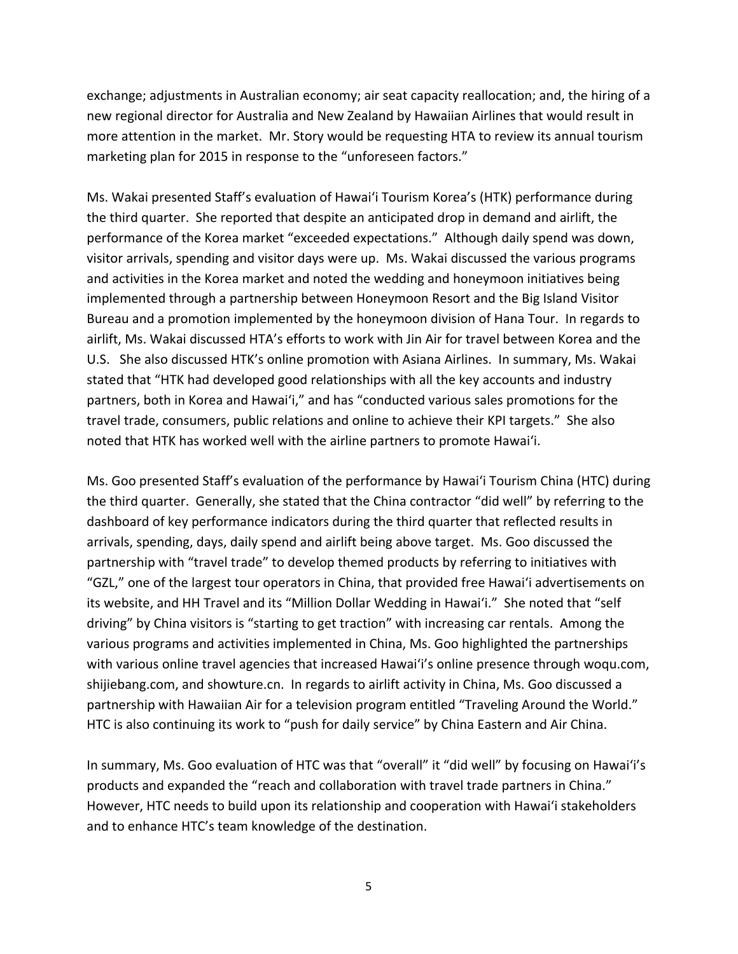exchange; adjustments in Australian economy; air seat capacity reallocation; and, the hiring of a new regional director for Australia and New Zealand by Hawaiian Airlines that would result in more attention in the market. Mr. Story would be requesting HTA to review its annual tourism marketing plan for 2015 in response to the "unforeseen factors."

Ms. Wakai presented Staff's evaluation of Hawai'i Tourism Korea's (HTK) performance during the third quarter. She reported that despite an anticipated drop in demand and airlift, the performance of the Korea market "exceeded expectations." Although daily spend was down, visitor arrivals, spending and visitor days were up. Ms. Wakai discussed the various programs and activities in the Korea market and noted the wedding and honeymoon initiatives being implemented through a partnership between Honeymoon Resort and the Big Island Visitor Bureau and a promotion implemented by the honeymoon division of Hana Tour. In regards to airlift, Ms. Wakai discussed HTA's efforts to work with Jin Air for travel between Korea and the U.S. She also discussed HTK's online promotion with Asiana Airlines. In summary, Ms. Wakai stated that "HTK had developed good relationships with all the key accounts and industry partners, both in Korea and Hawai'i," and has "conducted various sales promotions for the travel trade, consumers, public relations and online to achieve their KPI targets." She also noted that HTK has worked well with the airline partners to promote Hawai'i.

Ms. Goo presented Staff's evaluation of the performance by Hawai'i Tourism China (HTC) during the third quarter. Generally, she stated that the China contractor "did well" by referring to the dashboard of key performance indicators during the third quarter that reflected results in arrivals, spending, days, daily spend and airlift being above target. Ms. Goo discussed the partnership with "travel trade" to develop themed products by referring to initiatives with "GZL," one of the largest tour operators in China, that provided free Hawai'i advertisements on its website, and HH Travel and its "Million Dollar Wedding in Hawai'i." She noted that "self driving" by China visitors is "starting to get traction" with increasing car rentals. Among the various programs and activities implemented in China, Ms. Goo highlighted the partnerships with various online travel agencies that increased Hawai'i's online presence through woqu.com, shijiebang.com, and showture.cn. In regards to airlift activity in China, Ms. Goo discussed a partnership with Hawaiian Air for a television program entitled "Traveling Around the World." HTC is also continuing its work to "push for daily service" by China Eastern and Air China.

In summary, Ms. Goo evaluation of HTC was that "overall" it "did well" by focusing on Hawai'i's products and expanded the "reach and collaboration with travel trade partners in China." However, HTC needs to build upon its relationship and cooperation with Hawai'i stakeholders and to enhance HTC's team knowledge of the destination.

5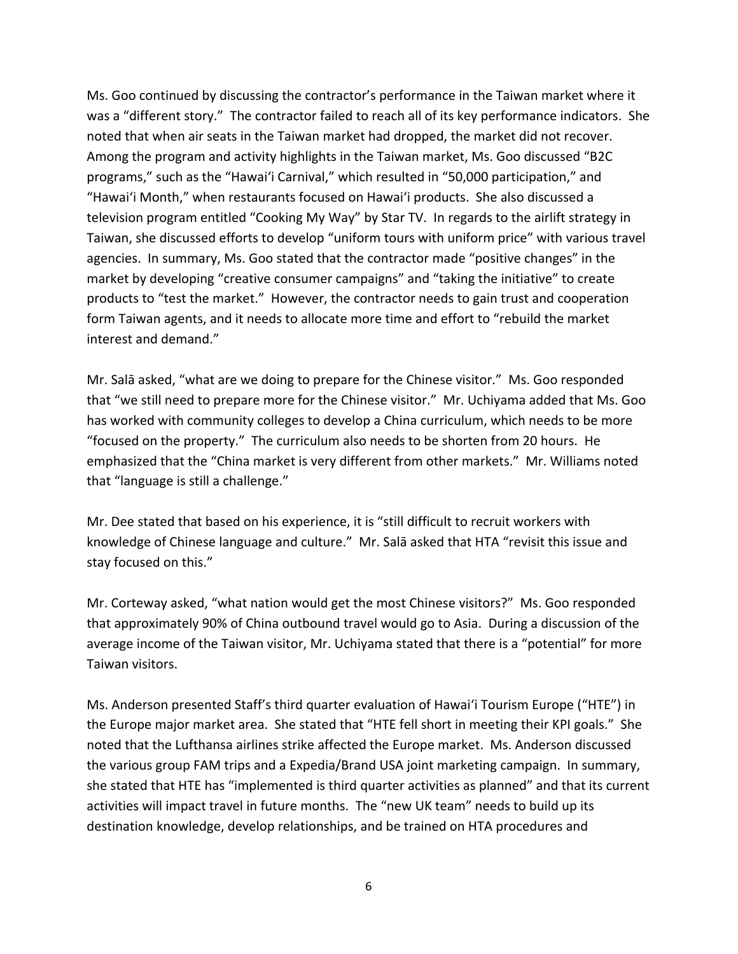Ms. Goo continued by discussing the contractor's performance in the Taiwan market where it was a "different story." The contractor failed to reach all of its key performance indicators. She noted that when air seats in the Taiwan market had dropped, the market did not recover. Among the program and activity highlights in the Taiwan market, Ms. Goo discussed "B2C programs," such as the "Hawai'i Carnival," which resulted in "50,000 participation," and "Hawai'i Month," when restaurants focused on Hawai'i products. She also discussed a television program entitled "Cooking My Way" by Star TV. In regards to the airlift strategy in Taiwan, she discussed efforts to develop "uniform tours with uniform price" with various travel agencies. In summary, Ms. Goo stated that the contractor made "positive changes" in the market by developing "creative consumer campaigns" and "taking the initiative" to create products to "test the market." However, the contractor needs to gain trust and cooperation form Taiwan agents, and it needs to allocate more time and effort to "rebuild the market interest and demand."

Mr. Salā asked, "what are we doing to prepare for the Chinese visitor." Ms. Goo responded that "we still need to prepare more for the Chinese visitor." Mr. Uchiyama added that Ms. Goo has worked with community colleges to develop a China curriculum, which needs to be more "focused on the property." The curriculum also needs to be shorten from 20 hours. He emphasized that the "China market is very different from other markets." Mr. Williams noted that "language is still a challenge."

Mr. Dee stated that based on his experience, it is "still difficult to recruit workers with knowledge of Chinese language and culture." Mr. Salā asked that HTA "revisit this issue and stay focused on this."

Mr. Corteway asked, "what nation would get the most Chinese visitors?" Ms. Goo responded that approximately 90% of China outbound travel would go to Asia. During a discussion of the average income of the Taiwan visitor, Mr. Uchiyama stated that there is a "potential" for more Taiwan visitors.

Ms. Anderson presented Staff's third quarter evaluation of Hawai'i Tourism Europe ("HTE") in the Europe major market area. She stated that "HTE fell short in meeting their KPI goals." She noted that the Lufthansa airlines strike affected the Europe market. Ms. Anderson discussed the various group FAM trips and a Expedia/Brand USA joint marketing campaign. In summary, she stated that HTE has "implemented is third quarter activities as planned" and that its current activities will impact travel in future months. The "new UK team" needs to build up its destination knowledge, develop relationships, and be trained on HTA procedures and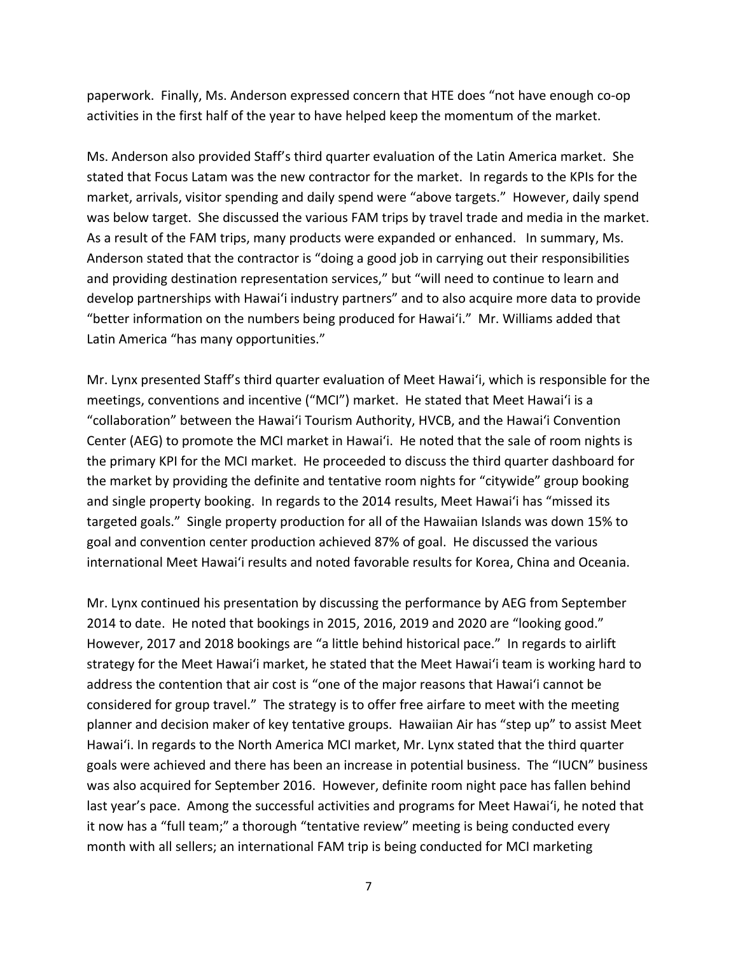paperwork. Finally, Ms. Anderson expressed concern that HTE does "not have enough co‐op activities in the first half of the year to have helped keep the momentum of the market.

Ms. Anderson also provided Staff's third quarter evaluation of the Latin America market. She stated that Focus Latam was the new contractor for the market. In regards to the KPIs for the market, arrivals, visitor spending and daily spend were "above targets." However, daily spend was below target. She discussed the various FAM trips by travel trade and media in the market. As a result of the FAM trips, many products were expanded or enhanced. In summary, Ms. Anderson stated that the contractor is "doing a good job in carrying out their responsibilities and providing destination representation services," but "will need to continue to learn and develop partnerships with Hawai'i industry partners" and to also acquire more data to provide "better information on the numbers being produced for Hawai'i." Mr. Williams added that Latin America "has many opportunities."

Mr. Lynx presented Staff's third quarter evaluation of Meet Hawai'i, which is responsible for the meetings, conventions and incentive ("MCI") market. He stated that Meet Hawai'i is a "collaboration" between the Hawai'i Tourism Authority, HVCB, and the Hawai'i Convention Center (AEG) to promote the MCI market in Hawai'i. He noted that the sale of room nights is the primary KPI for the MCI market. He proceeded to discuss the third quarter dashboard for the market by providing the definite and tentative room nights for "citywide" group booking and single property booking. In regards to the 2014 results, Meet Hawai'i has "missed its targeted goals." Single property production for all of the Hawaiian Islands was down 15% to goal and convention center production achieved 87% of goal. He discussed the various international Meet Hawai'i results and noted favorable results for Korea, China and Oceania.

Mr. Lynx continued his presentation by discussing the performance by AEG from September 2014 to date. He noted that bookings in 2015, 2016, 2019 and 2020 are "looking good." However, 2017 and 2018 bookings are "a little behind historical pace." In regards to airlift strategy for the Meet Hawai'i market, he stated that the Meet Hawai'i team is working hard to address the contention that air cost is "one of the major reasons that Hawai'i cannot be considered for group travel." The strategy is to offer free airfare to meet with the meeting planner and decision maker of key tentative groups. Hawaiian Air has "step up" to assist Meet Hawai'i. In regards to the North America MCI market, Mr. Lynx stated that the third quarter goals were achieved and there has been an increase in potential business. The "IUCN" business was also acquired for September 2016. However, definite room night pace has fallen behind last year's pace. Among the successful activities and programs for Meet Hawai'i, he noted that it now has a "full team;" a thorough "tentative review" meeting is being conducted every month with all sellers; an international FAM trip is being conducted for MCI marketing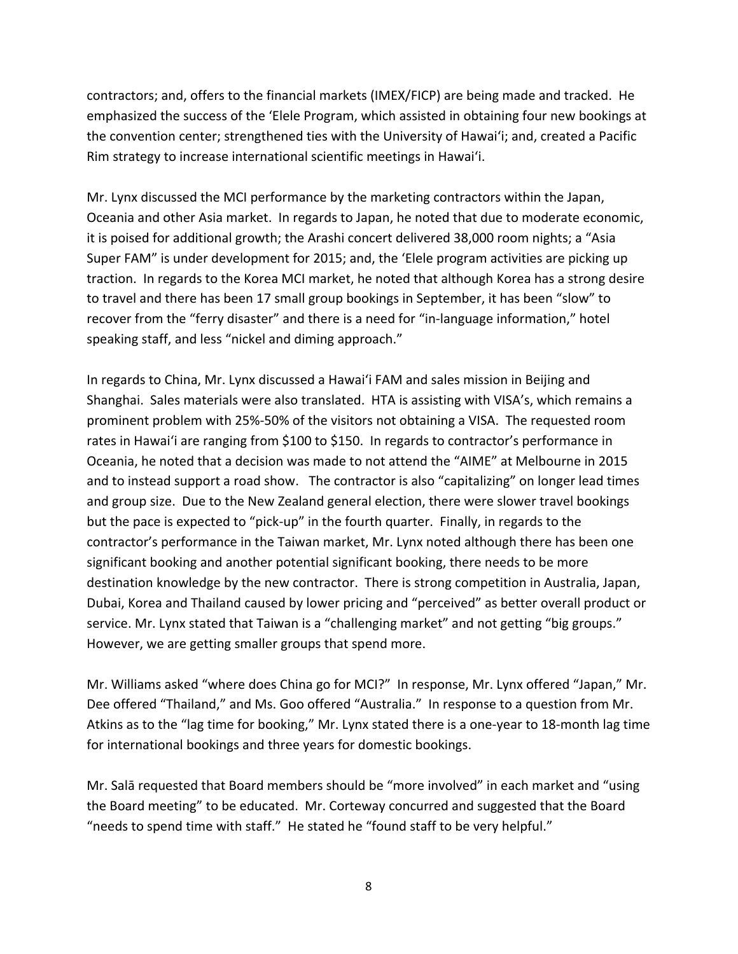contractors; and, offers to the financial markets (IMEX/FICP) are being made and tracked. He emphasized the success of the 'Elele Program, which assisted in obtaining four new bookings at the convention center; strengthened ties with the University of Hawai'i; and, created a Pacific Rim strategy to increase international scientific meetings in Hawai'i.

Mr. Lynx discussed the MCI performance by the marketing contractors within the Japan, Oceania and other Asia market. In regards to Japan, he noted that due to moderate economic, it is poised for additional growth; the Arashi concert delivered 38,000 room nights; a "Asia Super FAM" is under development for 2015; and, the 'Elele program activities are picking up traction. In regards to the Korea MCI market, he noted that although Korea has a strong desire to travel and there has been 17 small group bookings in September, it has been "slow" to recover from the "ferry disaster" and there is a need for "in‐language information," hotel speaking staff, and less "nickel and diming approach."

In regards to China, Mr. Lynx discussed a Hawai'i FAM and sales mission in Beijing and Shanghai. Sales materials were also translated. HTA is assisting with VISA's, which remains a prominent problem with 25%‐50% of the visitors not obtaining a VISA. The requested room rates in Hawai'i are ranging from \$100 to \$150. In regards to contractor's performance in Oceania, he noted that a decision was made to not attend the "AIME" at Melbourne in 2015 and to instead support a road show. The contractor is also "capitalizing" on longer lead times and group size. Due to the New Zealand general election, there were slower travel bookings but the pace is expected to "pick‐up" in the fourth quarter. Finally, in regards to the contractor's performance in the Taiwan market, Mr. Lynx noted although there has been one significant booking and another potential significant booking, there needs to be more destination knowledge by the new contractor. There is strong competition in Australia, Japan, Dubai, Korea and Thailand caused by lower pricing and "perceived" as better overall product or service. Mr. Lynx stated that Taiwan is a "challenging market" and not getting "big groups." However, we are getting smaller groups that spend more.

Mr. Williams asked "where does China go for MCI?" In response, Mr. Lynx offered "Japan," Mr. Dee offered "Thailand," and Ms. Goo offered "Australia." In response to a question from Mr. Atkins as to the "lag time for booking," Mr. Lynx stated there is a one‐year to 18‐month lag time for international bookings and three years for domestic bookings.

Mr. Salā requested that Board members should be "more involved" in each market and "using the Board meeting" to be educated. Mr. Corteway concurred and suggested that the Board "needs to spend time with staff." He stated he "found staff to be very helpful."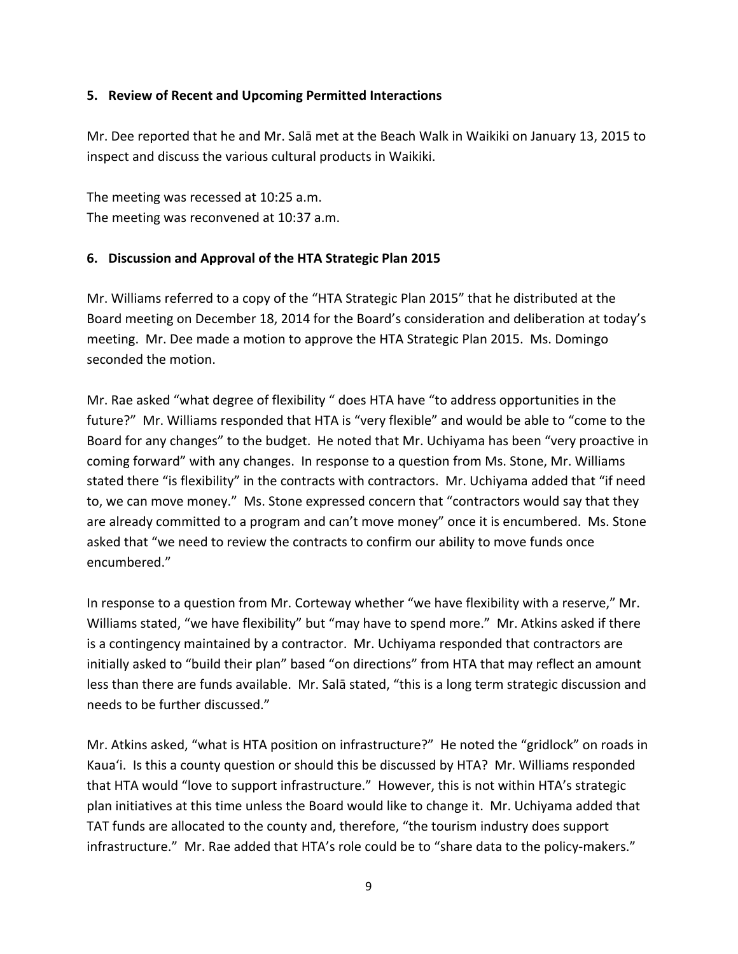## **5. Review of Recent and Upcoming Permitted Interactions**

Mr. Dee reported that he and Mr. Salā met at the Beach Walk in Waikiki on January 13, 2015 to inspect and discuss the various cultural products in Waikiki.

The meeting was recessed at 10:25 a.m. The meeting was reconvened at 10:37 a.m.

### **6. Discussion and Approval of the HTA Strategic Plan 2015**

Mr. Williams referred to a copy of the "HTA Strategic Plan 2015" that he distributed at the Board meeting on December 18, 2014 for the Board's consideration and deliberation at today's meeting. Mr. Dee made a motion to approve the HTA Strategic Plan 2015. Ms. Domingo seconded the motion.

Mr. Rae asked "what degree of flexibility " does HTA have "to address opportunities in the future?" Mr. Williams responded that HTA is "very flexible" and would be able to "come to the Board for any changes" to the budget. He noted that Mr. Uchiyama has been "very proactive in coming forward" with any changes. In response to a question from Ms. Stone, Mr. Williams stated there "is flexibility" in the contracts with contractors. Mr. Uchiyama added that "if need to, we can move money." Ms. Stone expressed concern that "contractors would say that they are already committed to a program and can't move money" once it is encumbered. Ms. Stone asked that "we need to review the contracts to confirm our ability to move funds once encumbered."

In response to a question from Mr. Corteway whether "we have flexibility with a reserve," Mr. Williams stated, "we have flexibility" but "may have to spend more." Mr. Atkins asked if there is a contingency maintained by a contractor. Mr. Uchiyama responded that contractors are initially asked to "build their plan" based "on directions" from HTA that may reflect an amount less than there are funds available. Mr. Salā stated, "this is a long term strategic discussion and needs to be further discussed."

Mr. Atkins asked, "what is HTA position on infrastructure?" He noted the "gridlock" on roads in Kaua'i. Is this a county question or should this be discussed by HTA? Mr. Williams responded that HTA would "love to support infrastructure." However, this is not within HTA's strategic plan initiatives at this time unless the Board would like to change it. Mr. Uchiyama added that TAT funds are allocated to the county and, therefore, "the tourism industry does support infrastructure." Mr. Rae added that HTA's role could be to "share data to the policy‐makers."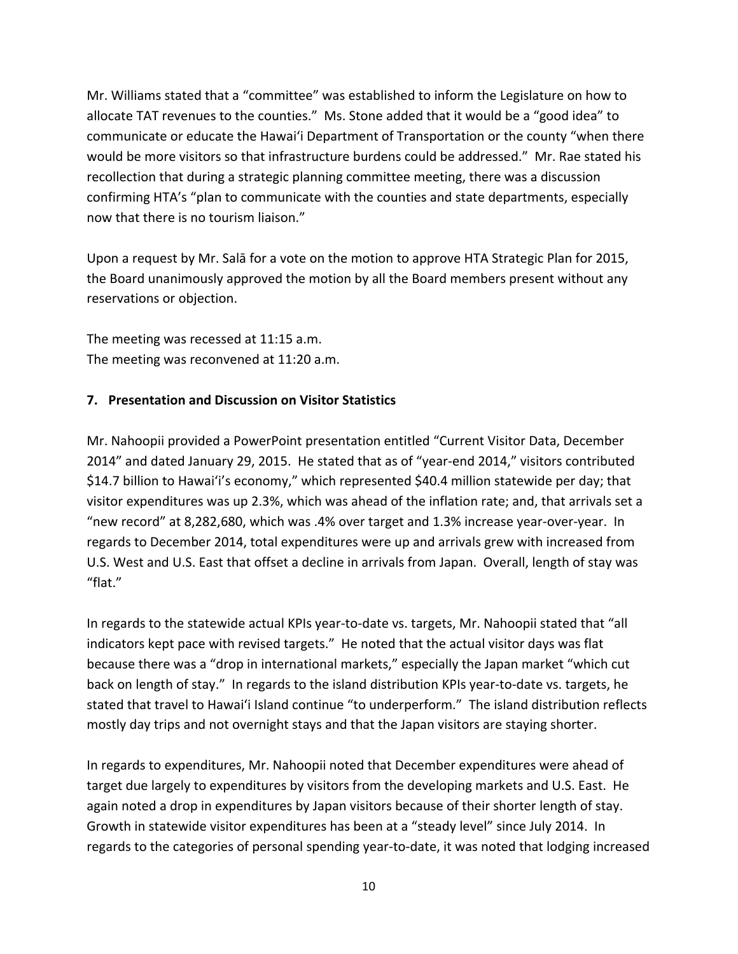Mr. Williams stated that a "committee" was established to inform the Legislature on how to allocate TAT revenues to the counties." Ms. Stone added that it would be a "good idea" to communicate or educate the Hawai'i Department of Transportation or the county "when there would be more visitors so that infrastructure burdens could be addressed." Mr. Rae stated his recollection that during a strategic planning committee meeting, there was a discussion confirming HTA's "plan to communicate with the counties and state departments, especially now that there is no tourism liaison."

Upon a request by Mr. Salā for a vote on the motion to approve HTA Strategic Plan for 2015, the Board unanimously approved the motion by all the Board members present without any reservations or objection.

The meeting was recessed at 11:15 a.m. The meeting was reconvened at 11:20 a.m.

## **7. Presentation and Discussion on Visitor Statistics**

Mr. Nahoopii provided a PowerPoint presentation entitled "Current Visitor Data, December 2014" and dated January 29, 2015. He stated that as of "year-end 2014," visitors contributed \$14.7 billion to Hawai'i's economy," which represented \$40.4 million statewide per day; that visitor expenditures was up 2.3%, which was ahead of the inflation rate; and, that arrivals set a "new record" at 8,282,680, which was .4% over target and 1.3% increase year‐over‐year. In regards to December 2014, total expenditures were up and arrivals grew with increased from U.S. West and U.S. East that offset a decline in arrivals from Japan. Overall, length of stay was "flat."

In regards to the statewide actual KPIs year-to-date vs. targets, Mr. Nahoopii stated that "all indicators kept pace with revised targets." He noted that the actual visitor days was flat because there was a "drop in international markets," especially the Japan market "which cut back on length of stay." In regards to the island distribution KPIs year-to-date vs. targets, he stated that travel to Hawai'i Island continue "to underperform." The island distribution reflects mostly day trips and not overnight stays and that the Japan visitors are staying shorter.

In regards to expenditures, Mr. Nahoopii noted that December expenditures were ahead of target due largely to expenditures by visitors from the developing markets and U.S. East. He again noted a drop in expenditures by Japan visitors because of their shorter length of stay. Growth in statewide visitor expenditures has been at a "steady level" since July 2014. In regards to the categories of personal spending year‐to‐date, it was noted that lodging increased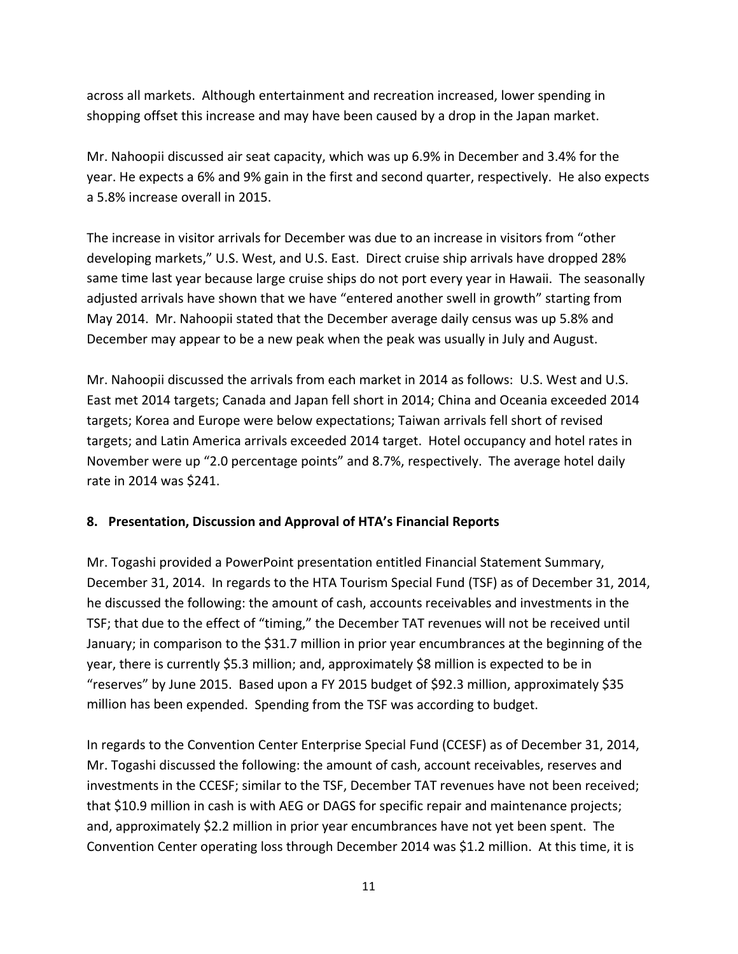across all markets. Although entertainment and recreation increased, lower spending in shopping offset this increase and may have been caused by a drop in the Japan market.

Mr. Nahoopii discussed air seat capacity, which was up 6.9% in December and 3.4% for the year. He expects a 6% and 9% gain in the first and second quarter, respectively. He also expects a 5.8% increase overall in 2015.

The increase in visitor arrivals for December was due to an increase in visitors from "other developing markets," U.S. West, and U.S. East. Direct cruise ship arrivals have dropped 28% same time last year because large cruise ships do not port every year in Hawaii. The seasonally adjusted arrivals have shown that we have "entered another swell in growth" starting from May 2014. Mr. Nahoopii stated that the December average daily census was up 5.8% and December may appear to be a new peak when the peak was usually in July and August.

Mr. Nahoopii discussed the arrivals from each market in 2014 as follows: U.S. West and U.S. East met 2014 targets; Canada and Japan fell short in 2014; China and Oceania exceeded 2014 targets; Korea and Europe were below expectations; Taiwan arrivals fell short of revised targets; and Latin America arrivals exceeded 2014 target. Hotel occupancy and hotel rates in November were up "2.0 percentage points" and 8.7%, respectively. The average hotel daily rate in 2014 was \$241.

## **8. Presentation, Discussion and Approval of HTA's Financial Reports**

Mr. Togashi provided a PowerPoint presentation entitled Financial Statement Summary, December 31, 2014. In regards to the HTA Tourism Special Fund (TSF) as of December 31, 2014, he discussed the following: the amount of cash, accounts receivables and investments in the TSF; that due to the effect of "timing," the December TAT revenues will not be received until January; in comparison to the \$31.7 million in prior year encumbrances at the beginning of the year, there is currently \$5.3 million; and, approximately \$8 million is expected to be in "reserves" by June 2015. Based upon a FY 2015 budget of \$92.3 million, approximately \$35 million has been expended. Spending from the TSF was according to budget.

In regards to the Convention Center Enterprise Special Fund (CCESF) as of December 31, 2014, Mr. Togashi discussed the following: the amount of cash, account receivables, reserves and investments in the CCESF; similar to the TSF, December TAT revenues have not been received; that \$10.9 million in cash is with AEG or DAGS for specific repair and maintenance projects; and, approximately \$2.2 million in prior year encumbrances have not yet been spent. The Convention Center operating loss through December 2014 was \$1.2 million. At this time, it is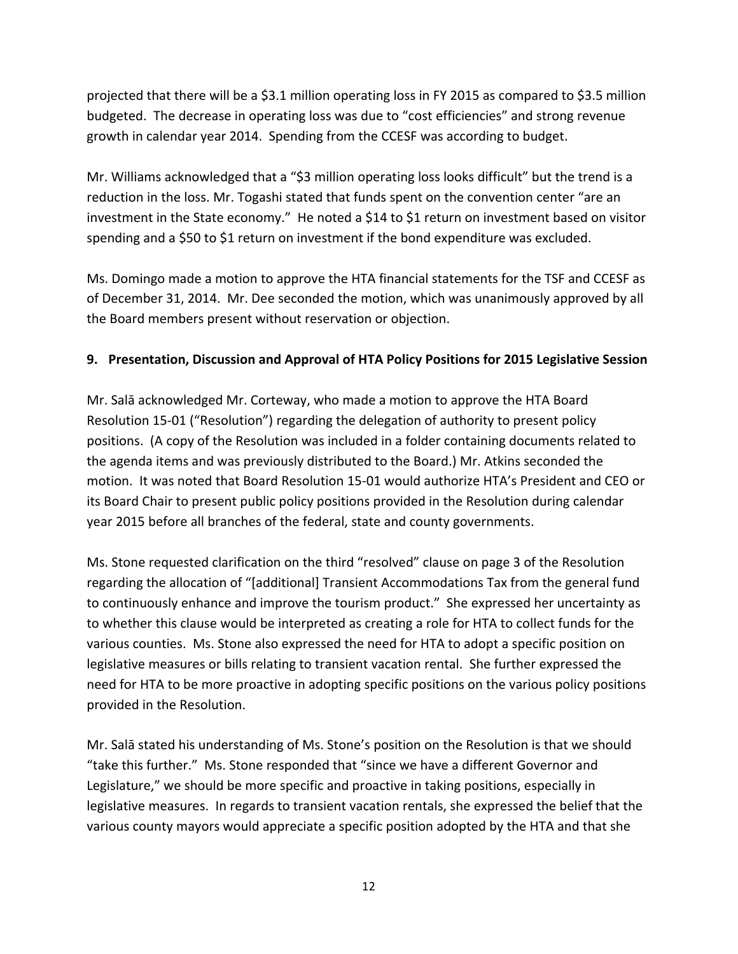projected that there will be a \$3.1 million operating loss in FY 2015 as compared to \$3.5 million budgeted. The decrease in operating loss was due to "cost efficiencies" and strong revenue growth in calendar year 2014. Spending from the CCESF was according to budget.

Mr. Williams acknowledged that a "\$3 million operating loss looks difficult" but the trend is a reduction in the loss. Mr. Togashi stated that funds spent on the convention center "are an investment in the State economy." He noted a \$14 to \$1 return on investment based on visitor spending and a \$50 to \$1 return on investment if the bond expenditure was excluded.

Ms. Domingo made a motion to approve the HTA financial statements for the TSF and CCESF as of December 31, 2014. Mr. Dee seconded the motion, which was unanimously approved by all the Board members present without reservation or objection.

## **9. Presentation, Discussion and Approval of HTA Policy Positions for 2015 Legislative Session**

Mr. Salā acknowledged Mr. Corteway, who made a motion to approve the HTA Board Resolution 15‐01 ("Resolution") regarding the delegation of authority to present policy positions. (A copy of the Resolution was included in a folder containing documents related to the agenda items and was previously distributed to the Board.) Mr. Atkins seconded the motion. It was noted that Board Resolution 15‐01 would authorize HTA's President and CEO or its Board Chair to present public policy positions provided in the Resolution during calendar year 2015 before all branches of the federal, state and county governments.

Ms. Stone requested clarification on the third "resolved" clause on page 3 of the Resolution regarding the allocation of "[additional] Transient Accommodations Tax from the general fund to continuously enhance and improve the tourism product." She expressed her uncertainty as to whether this clause would be interpreted as creating a role for HTA to collect funds for the various counties. Ms. Stone also expressed the need for HTA to adopt a specific position on legislative measures or bills relating to transient vacation rental. She further expressed the need for HTA to be more proactive in adopting specific positions on the various policy positions provided in the Resolution.

Mr. Salā stated his understanding of Ms. Stone's position on the Resolution is that we should "take this further." Ms. Stone responded that "since we have a different Governor and Legislature," we should be more specific and proactive in taking positions, especially in legislative measures. In regards to transient vacation rentals, she expressed the belief that the various county mayors would appreciate a specific position adopted by the HTA and that she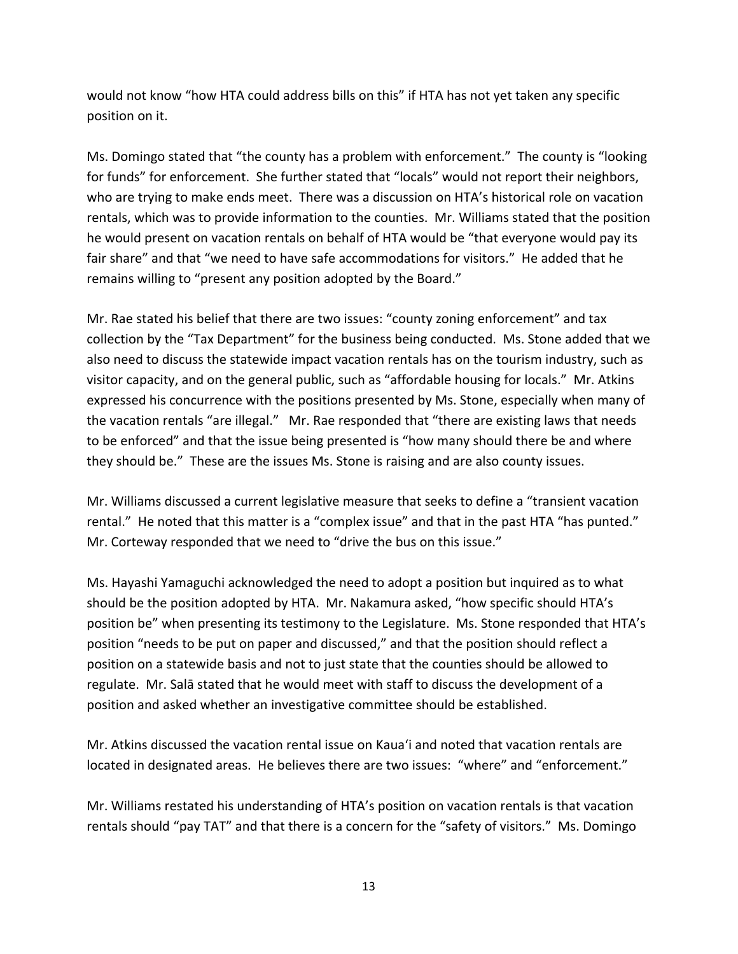would not know "how HTA could address bills on this" if HTA has not yet taken any specific position on it.

Ms. Domingo stated that "the county has a problem with enforcement." The county is "looking for funds" for enforcement. She further stated that "locals" would not report their neighbors, who are trying to make ends meet. There was a discussion on HTA's historical role on vacation rentals, which was to provide information to the counties. Mr. Williams stated that the position he would present on vacation rentals on behalf of HTA would be "that everyone would pay its fair share" and that "we need to have safe accommodations for visitors." He added that he remains willing to "present any position adopted by the Board."

Mr. Rae stated his belief that there are two issues: "county zoning enforcement" and tax collection by the "Tax Department" for the business being conducted. Ms. Stone added that we also need to discuss the statewide impact vacation rentals has on the tourism industry, such as visitor capacity, and on the general public, such as "affordable housing for locals." Mr. Atkins expressed his concurrence with the positions presented by Ms. Stone, especially when many of the vacation rentals "are illegal." Mr. Rae responded that "there are existing laws that needs to be enforced" and that the issue being presented is "how many should there be and where they should be." These are the issues Ms. Stone is raising and are also county issues.

Mr. Williams discussed a current legislative measure that seeks to define a "transient vacation rental." He noted that this matter is a "complex issue" and that in the past HTA "has punted." Mr. Corteway responded that we need to "drive the bus on this issue."

Ms. Hayashi Yamaguchi acknowledged the need to adopt a position but inquired as to what should be the position adopted by HTA. Mr. Nakamura asked, "how specific should HTA's position be" when presenting its testimony to the Legislature. Ms. Stone responded that HTA's position "needs to be put on paper and discussed," and that the position should reflect a position on a statewide basis and not to just state that the counties should be allowed to regulate. Mr. Salā stated that he would meet with staff to discuss the development of a position and asked whether an investigative committee should be established.

Mr. Atkins discussed the vacation rental issue on Kaua'i and noted that vacation rentals are located in designated areas. He believes there are two issues: "where" and "enforcement."

Mr. Williams restated his understanding of HTA's position on vacation rentals is that vacation rentals should "pay TAT" and that there is a concern for the "safety of visitors." Ms. Domingo